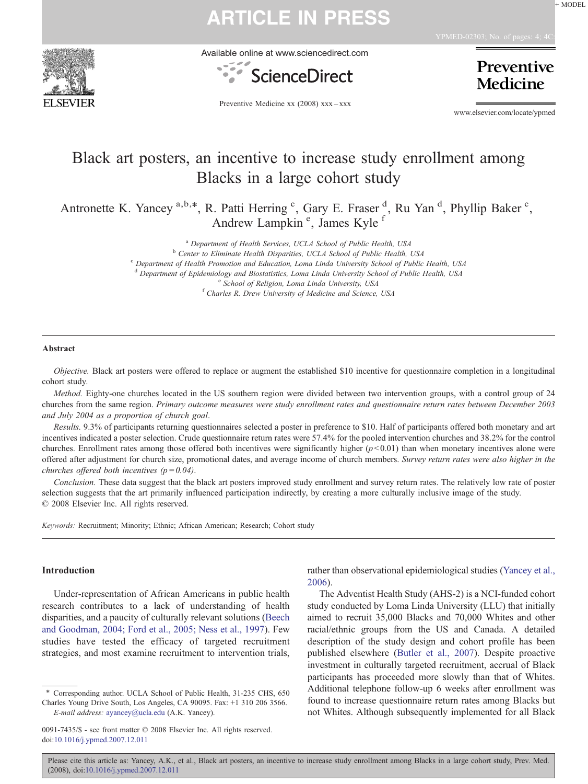

Available online at www.sciencedirect.com



Preventive **Medicine** 

Preventive Medicine xx (2008) xxx–xxx

www.elsevier.com/locate/ypmed

### Black art posters, an incentive to increase study enrollment among Blacks in a large cohort study

Antronette K. Yancey<sup>a,b,\*</sup>, R. Patti Herring<sup>c</sup>, Gary E. Fraser<sup>d</sup>, Ru Yan<sup>d</sup>, Phyllip Baker<sup>c</sup>, Andrew Lampkin<sup>e</sup>, James Kyle<sup>1</sup>

<sup>a</sup> Department of Health Services, UCLA School of Public Health, USA  $b$  Center to Eliminate Health Disparities, UCLA School of Public Health, USA

<sup>c</sup> Department of Health Promotion and Education, Loma Linda University School of Public Health, USA <sup>d</sup> Department of Epidemiology and Biostatistics, Loma Linda University School of Public Health, USA <br><sup>e</sup> School of Religion, Loma Linda University, USA <sup>f</sup> Charles R. Drew University of Medicine and Science, USA

#### Abstract

Objective. Black art posters were offered to replace or augment the established \$10 incentive for questionnaire completion in a longitudinal cohort study.

Method. Eighty-one churches located in the US southern region were divided between two intervention groups, with a control group of 24 churches from the same region. Primary outcome measures were study enrollment rates and questionnaire return rates between December 2003 and July 2004 as a proportion of church goal.

Results. 9.3% of participants returning questionnaires selected a poster in preference to \$10. Half of participants offered both monetary and art incentives indicated a poster selection. Crude questionnaire return rates were 57.4% for the pooled intervention churches and 38.2% for the control churches. Enrollment rates among those offered both incentives were significantly higher  $(p<0.01)$  than when monetary incentives alone were offered after adjustment for church size, promotional dates, and average income of church members. Survey return rates were also higher in the churches offered both incentives ( $p = 0.04$ ).

Conclusion. These data suggest that the black art posters improved study enrollment and survey return rates. The relatively low rate of poster selection suggests that the art primarily influenced participation indirectly, by creating a more culturally inclusive image of the study. © 2008 Elsevier Inc. All rights reserved.

Keywords: Recruitment; Minority; Ethnic; African American; Research; Cohort study

### Introduction

Under-representation of African Americans in public health research contributes to a lack of understanding of health disparities, and a paucity of culturally relevant solutions ([Beech](#page-3-0) [and Goodman, 2004; Ford et al., 2005; Ness et al., 1997\)](#page-3-0). Few studies have tested the efficacy of targeted recruitment strategies, and most examine recruitment to intervention trials, rather than observational epidemiological studies ([Yancey et al.,](#page-3-0) [2006](#page-3-0)).

The Adventist Health Study (AHS-2) is a NCI-funded cohort study conducted by Loma Linda University (LLU) that initially aimed to recruit 35,000 Blacks and 70,000 Whites and other racial/ethnic groups from the US and Canada. A detailed description of the study design and cohort profile has been published elsewhere [\(Butler et al., 2007](#page-3-0)). Despite proactive investment in culturally targeted recruitment, accrual of Black participants has proceeded more slowly than that of Whites. Additional telephone follow-up 6 weeks after enrollment was found to increase questionnaire return rates among Blacks but not Whites. Although subsequently implemented for all Black

Please cite this article as: Yancey, A.K., et al., Black art posters, an incentive to increase study enrollment among Blacks in a large cohort study, Prev. Med. (2008), doi[:10.1016/j.ypmed.2007.12.011](http://dx.doi.org/10.1016/j.ypmed.2007.12.011)

<sup>⁎</sup> Corresponding author. UCLA School of Public Health, 31-235 CHS, 650 Charles Young Drive South, Los Angeles, CA 90095. Fax: +1 310 206 3566. E-mail address: [ayancey@ucla.edu](mailto:ayancey@ucla.edu) (A.K. Yancey).

<sup>0091-7435/\$ -</sup> see front matter © 2008 Elsevier Inc. All rights reserved. doi:[10.1016/j.ypmed.2007.12.011](http://dx.doi.org/10.1016/j.ypmed.2007.12.011)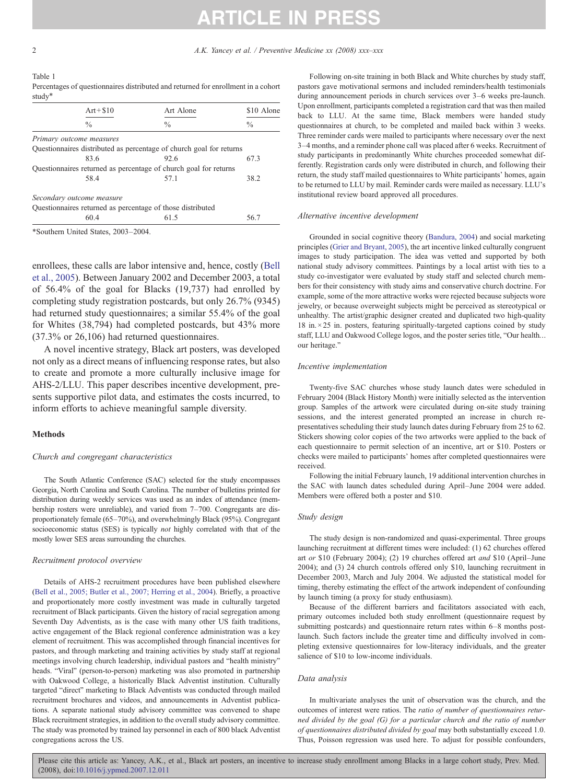#### <span id="page-1-0"></span>Table 1 Percentages of questionnaires distributed and returned for enrollment in a cohort study<sup>\*</sup>

| $Art + $10$               | Art Alone                                                           | \$10 Alone    |  |
|---------------------------|---------------------------------------------------------------------|---------------|--|
| $\frac{0}{0}$             | $\frac{0}{0}$                                                       | $\frac{0}{0}$ |  |
| Primary outcome measures  |                                                                     |               |  |
|                           | Questionnaires distributed as percentage of church goal for returns |               |  |
| 83.6                      | 92.6                                                                | 67.3          |  |
|                           | Questionnaires returned as percentage of church goal for returns    |               |  |
| 58.4                      | 57.1                                                                | 38.2          |  |
| Secondary outcome measure |                                                                     |               |  |
|                           | Questionnaires returned as percentage of those distributed          |               |  |
| 60.4                      | 61.5                                                                | 56.7          |  |

⁎Southern United States, 2003–2004.

enrollees, these calls are labor intensive and, hence, costly [\(Bell](#page-3-0) [et al., 2005](#page-3-0)). Between January 2002 and December 2003, a total of 56.4% of the goal for Blacks (19,737) had enrolled by completing study registration postcards, but only 26.7% (9345) had returned study questionnaires; a similar 55.4% of the goal for Whites (38,794) had completed postcards, but 43% more (37.3% or 26,106) had returned questionnaires.

A novel incentive strategy, Black art posters, was developed not only as a direct means of influencing response rates, but also to create and promote a more culturally inclusive image for AHS-2/LLU. This paper describes incentive development, presents supportive pilot data, and estimates the costs incurred, to inform efforts to achieve meaningful sample diversity.

### Methods

#### Church and congregant characteristics

The South Atlantic Conference (SAC) selected for the study encompasses Georgia, North Carolina and South Carolina. The number of bulletins printed for distribution during weekly services was used as an index of attendance (membership rosters were unreliable), and varied from 7–700. Congregants are disproportionately female (65–70%), and overwhelmingly Black (95%). Congregant socioeconomic status (SES) is typically not highly correlated with that of the mostly lower SES areas surrounding the churches.

#### Recruitment protocol overview

Details of AHS-2 recruitment procedures have been published elsewhere [\(Bell et al., 2005; Butler et al., 2007; Herring et al., 2004\)](#page-3-0). Briefly, a proactive and proportionately more costly investment was made in culturally targeted recruitment of Black participants. Given the history of racial segregation among Seventh Day Adventists, as is the case with many other US faith traditions, active engagement of the Black regional conference administration was a key element of recruitment. This was accomplished through financial incentives for pastors, and through marketing and training activities by study staff at regional meetings involving church leadership, individual pastors and "health ministry" heads. "Viral" (person-to-person) marketing was also promoted in partnership with Oakwood College, a historically Black Adventist institution. Culturally targeted "direct" marketing to Black Adventists was conducted through mailed recruitment brochures and videos, and announcements in Adventist publications. A separate national study advisory committee was convened to shape Black recruitment strategies, in addition to the overall study advisory committee. The study was promoted by trained lay personnel in each of 800 black Adventist congregations across the US.

Following on-site training in both Black and White churches by study staff, pastors gave motivational sermons and included reminders/health testimonials during announcement periods in church services over 3–6 weeks pre-launch. Upon enrollment, participants completed a registration card that was then mailed back to LLU. At the same time, Black members were handed study questionnaires at church, to be completed and mailed back within 3 weeks. Three reminder cards were mailed to participants where necessary over the next 3–4 months, and a reminder phone call was placed after 6 weeks. Recruitment of study participants in predominantly White churches proceeded somewhat differently. Registration cards only were distributed in church, and following their return, the study staff mailed questionnaires to White participants' homes, again to be returned to LLU by mail. Reminder cards were mailed as necessary. LLU's institutional review board approved all procedures.

#### Alternative incentive development

Grounded in social cognitive theory [\(Bandura, 2004](#page-3-0)) and social marketing principles ([Grier and Bryant, 2005\)](#page-3-0), the art incentive linked culturally congruent images to study participation. The idea was vetted and supported by both national study advisory committees. Paintings by a local artist with ties to a study co-investigator were evaluated by study staff and selected church members for their consistency with study aims and conservative church doctrine. For example, some of the more attractive works were rejected because subjects wore jewelry, or because overweight subjects might be perceived as stereotypical or unhealthy. The artist/graphic designer created and duplicated two high-quality  $18$  in.  $\times 25$  in. posters, featuring spiritually-targeted captions coined by study staff, LLU and Oakwood College logos, and the poster series title, "Our health… our heritage."

#### Incentive implementation

Twenty-five SAC churches whose study launch dates were scheduled in February 2004 (Black History Month) were initially selected as the intervention group. Samples of the artwork were circulated during on-site study training sessions, and the interest generated prompted an increase in church representatives scheduling their study launch dates during February from 25 to 62. Stickers showing color copies of the two artworks were applied to the back of each questionnaire to permit selection of an incentive, art or \$10. Posters or checks were mailed to participants' homes after completed questionnaires were received.

Following the initial February launch, 19 additional intervention churches in the SAC with launch dates scheduled during April–June 2004 were added. Members were offered both a poster and \$10.

#### Study design

The study design is non-randomized and quasi-experimental. Three groups launching recruitment at different times were included: (1) 62 churches offered art or \$10 (February 2004); (2) 19 churches offered art and \$10 (April–June 2004); and (3) 24 church controls offered only \$10, launching recruitment in December 2003, March and July 2004. We adjusted the statistical model for timing, thereby estimating the effect of the artwork independent of confounding by launch timing (a proxy for study enthusiasm).

Because of the different barriers and facilitators associated with each, primary outcomes included both study enrollment (questionnaire request by submitting postcards) and questionnaire return rates within 6–8 months postlaunch. Such factors include the greater time and difficulty involved in completing extensive questionnaires for low-literacy individuals, and the greater salience of \$10 to low-income individuals.

#### Data analysis

In multivariate analyses the unit of observation was the church, and the outcomes of interest were ratios. The ratio of number of questionnaires returned divided by the goal (G) for a particular church and the ratio of number of questionnaires distributed divided by goal may both substantially exceed 1.0. Thus, Poisson regression was used here. To adjust for possible confounders,

Please cite this article as: Yancey, A.K., et al., Black art posters, an incentive to increase study enrollment among Blacks in a large cohort study, Prev. Med. (2008), doi:[10.1016/j.ypmed.2007.12.011](http://dx.doi.org/10.1016/j.ypmed.2007.12.011)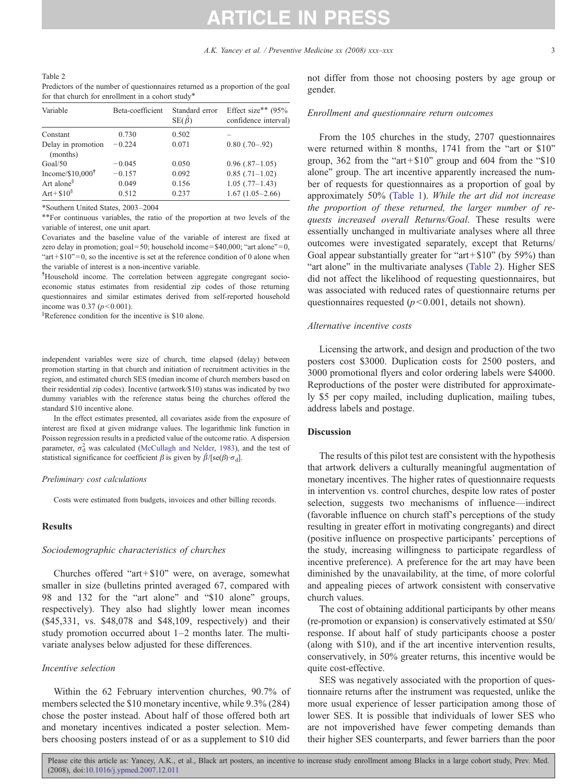| Table 2                                                                         |
|---------------------------------------------------------------------------------|
| Predictors of the number of questionnaires returned as a proportion of the goal |
| for that church for enrollment in a cohort study*                               |

| Variable                       | Beta-coefficient | Standard error<br>$SE(\hat{\beta})$ | Effect size** $(95%$<br>confidence interval) |
|--------------------------------|------------------|-------------------------------------|----------------------------------------------|
| Constant                       | 0.730            | 0.502                               |                                              |
| Delay in promotion<br>(months) | $-0.224$         | 0.071                               | $0.80$ $(.70-.92)$                           |
| Goal/50                        | $-0.045$         | 0.050                               | $0.96(.87-1.05)$                             |
| Income/ $$10,000$ <sup>†</sup> | $-0.157$         | 0.092                               | $0.85$ $(.71-1.02)$                          |
| Art alone <sup>§</sup>         | 0.049            | 0.156                               | $1.05$ $(.77-1.43)$                          |
| $Art + $10^{\frac{8}{5}}$      | 0.512            | 0.237                               | $1.67(1.05-2.66)$                            |

⁎Southern United States, 2003–2004

⁎⁎For continuous variables, the ratio of the proportion at two levels of the variable of interest, one unit apart.

Covariates and the baseline value of the variable of interest are fixed at zero delay in promotion; goal = 50; household income =  $$40,000$ ; "art alone" = 0, " $art + $10" = 0$ , so the incentive is set at the reference condition of 0 alone when the variable of interest is a non-incentive variable.

† Household income. The correlation between aggregate congregant socioeconomic status estimates from residential zip codes of those returning questionnaires and similar estimates derived from self-reported household income was 0.37 ( $p < 0.001$ ).

§ Reference condition for the incentive is \$10 alone.

independent variables were size of church, time elapsed (delay) between promotion starting in that church and initiation of recruitment activities in the region, and estimated church SES (median income of church members based on their residential zip codes). Incentive (artwork/\$10) status was indicated by two dummy variables with the reference status being the churches offered the standard \$10 incentive alone.

In the effect estimates presented, all covariates aside from the exposure of interest are fixed at given midrange values. The logarithmic link function in Poisson regression results in a predicted value of the outcome ratio. A dispersion parameter,  $\sigma_d^2$  was calculated ([McCullagh and Nelder, 1983\)](#page-3-0), and the test of statistical significance for coefficient  $\beta$  is given by  $\hat{\beta}/[se(\beta) \cdot \sigma_d]$ .

#### Preliminary cost calculations

Costs were estimated from budgets, invoices and other billing records.

#### Results

#### Sociodemographic characteristics of churches

Churches offered "art +  $$10"$ " were, on average, somewhat smaller in size (bulletins printed averaged 67, compared with 98 and 132 for the "art alone" and "\$10 alone" groups, respectively). They also had slightly lower mean incomes (\$45,331, vs. \$48,078 and \$48,109, respectively) and their study promotion occurred about 1–2 months later. The multivariate analyses below adjusted for these differences.

#### Incentive selection

Within the 62 February intervention churches, 90.7% of members selected the \$10 monetary incentive, while 9.3% (284) chose the poster instead. About half of those offered both art and monetary incentives indicated a poster selection. Members choosing posters instead of or as a supplement to \$10 did

not differ from those not choosing posters by age group or gender.

### Enrollment and questionnaire return outcomes

From the 105 churches in the study, 2707 questionnaires were returned within 8 months, 1741 from the "art or \$10" group,  $362$  from the "art + \$10" group and 604 from the "\$10" alone" group. The art incentive apparently increased the number of requests for questionnaires as a proportion of goal by approximately 50% ([Table 1](#page-1-0)). While the art did not increase the proportion of these returned, the larger number of requests increased overall Returns/Goal. These results were essentially unchanged in multivariate analyses where all three outcomes were investigated separately, except that Returns/ Goal appear substantially greater for "art+\$10" (by 59%) than "art alone" in the multivariate analyses (Table 2). Higher SES did not affect the likelihood of requesting questionnaires, but was associated with reduced rates of questionnaire returns per questionnaires requested ( $p<0.001$ , details not shown).

#### Alternative incentive costs

Licensing the artwork, and design and production of the two posters cost \$3000. Duplication costs for 2500 posters, and 3000 promotional flyers and color ordering labels were \$4000. Reproductions of the poster were distributed for approximately \$5 per copy mailed, including duplication, mailing tubes, address labels and postage.

#### **Discussion**

The results of this pilot test are consistent with the hypothesis that artwork delivers a culturally meaningful augmentation of monetary incentives. The higher rates of questionnaire requests in intervention vs. control churches, despite low rates of poster selection, suggests two mechanisms of influence—indirect (favorable influence on church staff's perceptions of the study resulting in greater effort in motivating congregants) and direct (positive influence on prospective participants' perceptions of the study, increasing willingness to participate regardless of incentive preference). A preference for the art may have been diminished by the unavailability, at the time, of more colorful and appealing pieces of artwork consistent with conservative church values.

The cost of obtaining additional participants by other means (re-promotion or expansion) is conservatively estimated at \$50/ response. If about half of study participants choose a poster (along with \$10), and if the art incentive intervention results, conservatively, in 50% greater returns, this incentive would be quite cost-effective.

SES was negatively associated with the proportion of questionnaire returns after the instrument was requested, unlike the more usual experience of lesser participation among those of lower SES. It is possible that individuals of lower SES who are not impoverished have fewer competing demands than their higher SES counterparts, and fewer barriers than the poor